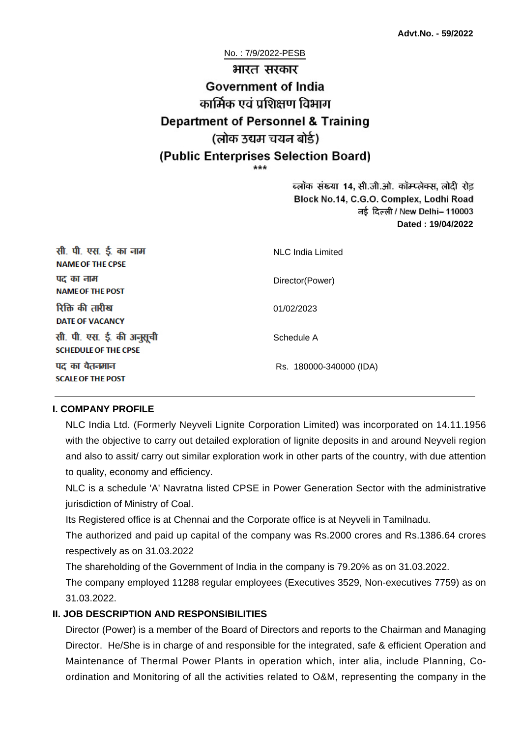No. : 7/9/2022-PESB भारत सरकार **Government of India** कार्मिक एवं पशिक्षण विभाग **Department of Personnel & Training** (लोक उद्यम चयन बोर्ड) (Public Enterprises Selection Board)

> ब्लॉक संख्या 14, सी.जी.ओ. कॉम्प्लेक्स, लोदी रोड Block No.14, C.G.O. Complex, Lodhi Road ਰई दिल्ली / New Delhi– 110003 **Dated : 19/04/2022**

| सी. पी. एस. ई. का नाम<br><b>NAME OF THE CPSE</b>         | NLC India Limited       |
|----------------------------------------------------------|-------------------------|
| पद का नाम<br><b>NAME OF THE POST</b>                     | Director(Power)         |
| रिक्ति की तारीख<br><b>DATE OF VACANCY</b>                | 01/02/2023              |
| सी. पी. एस. ई. की अनुसूची<br><b>SCHEDULE OF THE CPSE</b> | Schedule A              |
| पद का वेतनमान<br><b>SCALE OF THE POST</b>                | Rs. 180000-340000 (IDA) |

#### **I. COMPANY PROFILE**

NLC India Ltd. (Formerly Neyveli Lignite Corporation Limited) was incorporated on 14.11.1956 with the objective to carry out detailed exploration of lignite deposits in and around Neyveli region and also to assit/ carry out similar exploration work in other parts of the country, with due attention to quality, economy and efficiency.

NLC is a schedule 'A' Navratna listed CPSE in Power Generation Sector with the administrative jurisdiction of Ministry of Coal.

Its Registered office is at Chennai and the Corporate office is at Neyveli in Tamilnadu.

The authorized and paid up capital of the company was Rs.2000 crores and Rs.1386.64 crores respectively as on 31.03.2022

The shareholding of the Government of India in the company is 79.20% as on 31.03.2022.

The company employed 11288 regular employees (Executives 3529, Non-executives 7759) as on 31.03.2022.

### **II. JOB DESCRIPTION AND RESPONSIBILITIES**

Director (Power) is a member of the Board of Directors and reports to the Chairman and Managing Director. He/She is in charge of and responsible for the integrated, safe & efficient Operation and Maintenance of Thermal Power Plants in operation which, inter alia, include Planning, Coordination and Monitoring of all the activities related to O&M, representing the company in the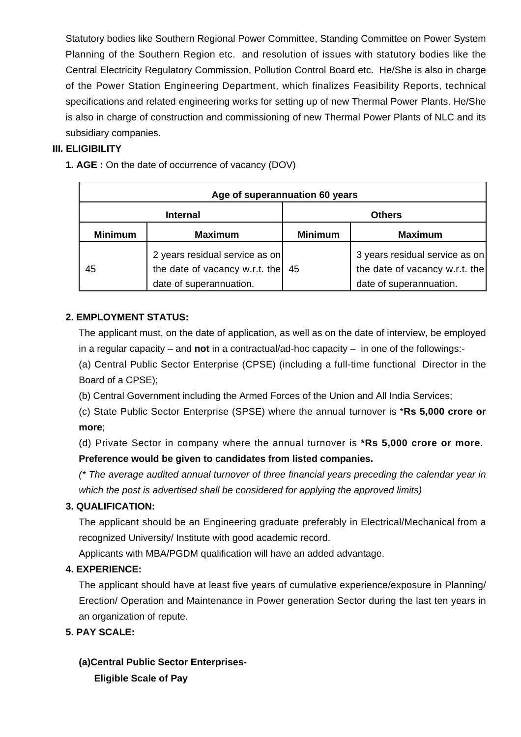Statutory bodies like Southern Regional Power Committee, Standing Committee on Power System Planning of the Southern Region etc. and resolution of issues with statutory bodies like the Central Electricity Regulatory Commission, Pollution Control Board etc. He/She is also in charge of the Power Station Engineering Department, which finalizes Feasibility Reports, technical specifications and related engineering works for setting up of new Thermal Power Plants. He/She is also in charge of construction and commissioning of new Thermal Power Plants of NLC and its subsidiary companies.

## **III. ELIGIBILITY**

**1. AGE :** On the date of occurrence of vacancy (DOV)

| Age of superannuation 60 years |                                                                                             |                |                                                                                             |
|--------------------------------|---------------------------------------------------------------------------------------------|----------------|---------------------------------------------------------------------------------------------|
| <b>Internal</b>                |                                                                                             | <b>Others</b>  |                                                                                             |
| <b>Minimum</b>                 | <b>Maximum</b>                                                                              | <b>Minimum</b> | <b>Maximum</b>                                                                              |
| 45                             | 2 years residual service as on<br>the date of vacancy w.r.t. the<br>date of superannuation. | 45             | 3 years residual service as on<br>the date of vacancy w.r.t. the<br>date of superannuation. |

## **2. EMPLOYMENT STATUS:**

The applicant must, on the date of application, as well as on the date of interview, be employed in a regular capacity – and **not** in a contractual/ad-hoc capacity – in one of the followings:-

(a) Central Public Sector Enterprise (CPSE) (including a full-time functional Director in the Board of a CPSE);

(b) Central Government including the Armed Forces of the Union and All India Services;

(c) State Public Sector Enterprise (SPSE) where the annual turnover is \***Rs 5,000 crore or more**;

(d) Private Sector in company where the annual turnover is **\*Rs 5,000 crore or more**. **Preference would be given to candidates from listed companies.**

(\* The average audited annual turnover of three financial years preceding the calendar year in which the post is advertised shall be considered for applying the approved limits)

## **3. QUALIFICATION:**

The applicant should be an Engineering graduate preferably in Electrical/Mechanical from a recognized University/ Institute with good academic record.

Applicants with MBA/PGDM qualification will have an added advantage.

### **4. EXPERIENCE:**

The applicant should have at least five years of cumulative experience/exposure in Planning/ Erection/ Operation and Maintenance in Power generation Sector during the last ten years in an organization of repute.

**5. PAY SCALE:**

**(a)Central Public Sector Enterprises-Eligible Scale of Pay**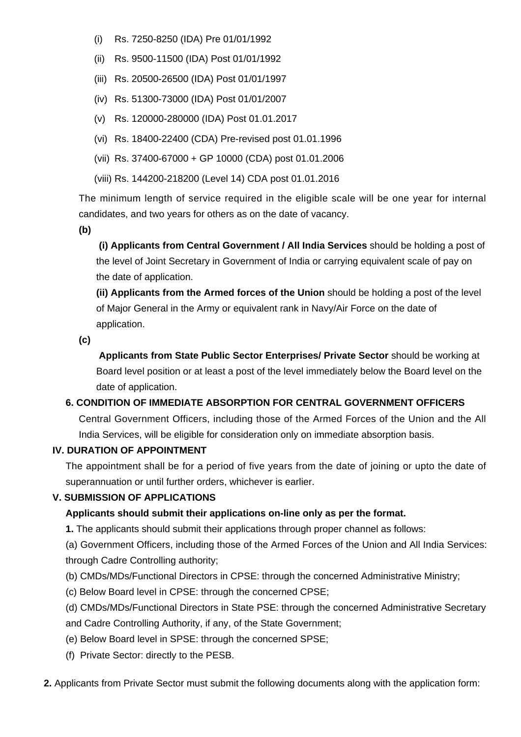- (i) Rs. 7250-8250 (IDA) Pre 01/01/1992
- (ii) Rs. 9500-11500 (IDA) Post 01/01/1992
- (iii) Rs. 20500-26500 (IDA) Post 01/01/1997
- (iv) Rs. 51300-73000 (IDA) Post 01/01/2007
- (v) Rs. 120000-280000 (IDA) Post 01.01.2017
- (vi) Rs. 18400-22400 (CDA) Pre-revised post 01.01.1996
- (vii) Rs. 37400-67000 + GP 10000 (CDA) post 01.01.2006
- (viii) Rs. 144200-218200 (Level 14) CDA post 01.01.2016

The minimum length of service required in the eligible scale will be one year for internal candidates, and two years for others as on the date of vacancy.

**(b)**

**(i) Applicants from Central Government / All India Services** should be holding a post of the level of Joint Secretary in Government of India or carrying equivalent scale of pay on the date of application.

**(ii) Applicants from the Armed forces of the Union** should be holding a post of the level of Major General in the Army or equivalent rank in Navy/Air Force on the date of application.

**(c)**

 **Applicants from State Public Sector Enterprises/ Private Sector** should be working at Board level position or at least a post of the level immediately below the Board level on the date of application.

### **6. CONDITION OF IMMEDIATE ABSORPTION FOR CENTRAL GOVERNMENT OFFICERS**

Central Government Officers, including those of the Armed Forces of the Union and the All India Services, will be eligible for consideration only on immediate absorption basis.

### **IV. DURATION OF APPOINTMENT**

The appointment shall be for a period of five years from the date of joining or upto the date of superannuation or until further orders, whichever is earlier.

### **V. SUBMISSION OF APPLICATIONS**

### **Applicants should submit their applications on-line only as per the format.**

**1.** The applicants should submit their applications through proper channel as follows:

(a) Government Officers, including those of the Armed Forces of the Union and All India Services: through Cadre Controlling authority;

- (b) CMDs/MDs/Functional Directors in CPSE: through the concerned Administrative Ministry;
- (c) Below Board level in CPSE: through the concerned CPSE;

(d) CMDs/MDs/Functional Directors in State PSE: through the concerned Administrative Secretary and Cadre Controlling Authority, if any, of the State Government;

- (e) Below Board level in SPSE: through the concerned SPSE;
- (f) Private Sector: directly to the PESB.
- **2.** Applicants from Private Sector must submit the following documents along with the application form: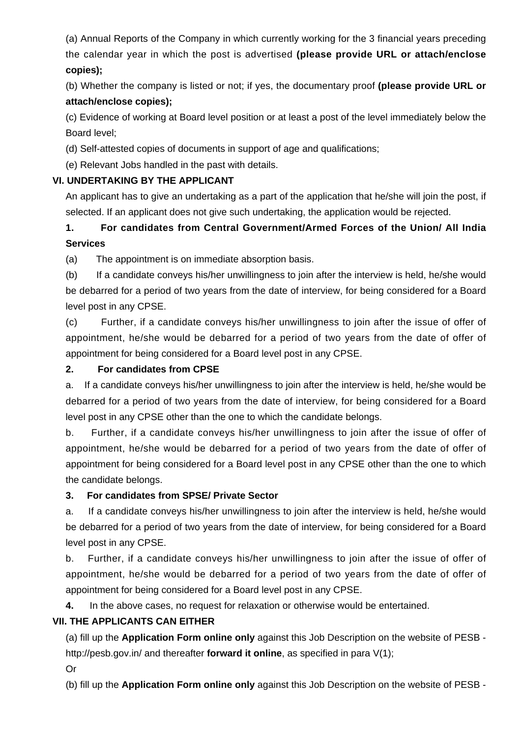(a) Annual Reports of the Company in which currently working for the 3 financial years preceding the calendar year in which the post is advertised **(please provide URL or attach/enclose copies);**

(b) Whether the company is listed or not; if yes, the documentary proof **(please provide URL or attach/enclose copies);**

(c) Evidence of working at Board level position or at least a post of the level immediately below the Board level;

(d) Self-attested copies of documents in support of age and qualifications;

(e) Relevant Jobs handled in the past with details.

## **VI. UNDERTAKING BY THE APPLICANT**

An applicant has to give an undertaking as a part of the application that he/she will join the post, if selected. If an applicant does not give such undertaking, the application would be rejected.

# **1. For candidates from Central Government/Armed Forces of the Union/ All India Services**

(a) The appointment is on immediate absorption basis.

(b) If a candidate conveys his/her unwillingness to join after the interview is held, he/she would be debarred for a period of two years from the date of interview, for being considered for a Board level post in any CPSE.

(c) Further, if a candidate conveys his/her unwillingness to join after the issue of offer of appointment, he/she would be debarred for a period of two years from the date of offer of appointment for being considered for a Board level post in any CPSE.

## **2. For candidates from CPSE**

a. If a candidate conveys his/her unwillingness to join after the interview is held, he/she would be debarred for a period of two years from the date of interview, for being considered for a Board level post in any CPSE other than the one to which the candidate belongs.

b. Further, if a candidate conveys his/her unwillingness to join after the issue of offer of appointment, he/she would be debarred for a period of two years from the date of offer of appointment for being considered for a Board level post in any CPSE other than the one to which the candidate belongs.

## **3. For candidates from SPSE/ Private Sector**

a. If a candidate conveys his/her unwillingness to join after the interview is held, he/she would be debarred for a period of two years from the date of interview, for being considered for a Board level post in any CPSE.

b. Further, if a candidate conveys his/her unwillingness to join after the issue of offer of appointment, he/she would be debarred for a period of two years from the date of offer of appointment for being considered for a Board level post in any CPSE.

**4.** In the above cases, no request for relaxation or otherwise would be entertained.

## **VII. THE APPLICANTS CAN EITHER**

(a) fill up the **Application Form online only** against this Job Description on the website of PESB http://pesb.gov.in/ and thereafter **forward it online**, as specified in para V(1);

Or

(b) fill up the **Application Form online only** against this Job Description on the website of PESB -